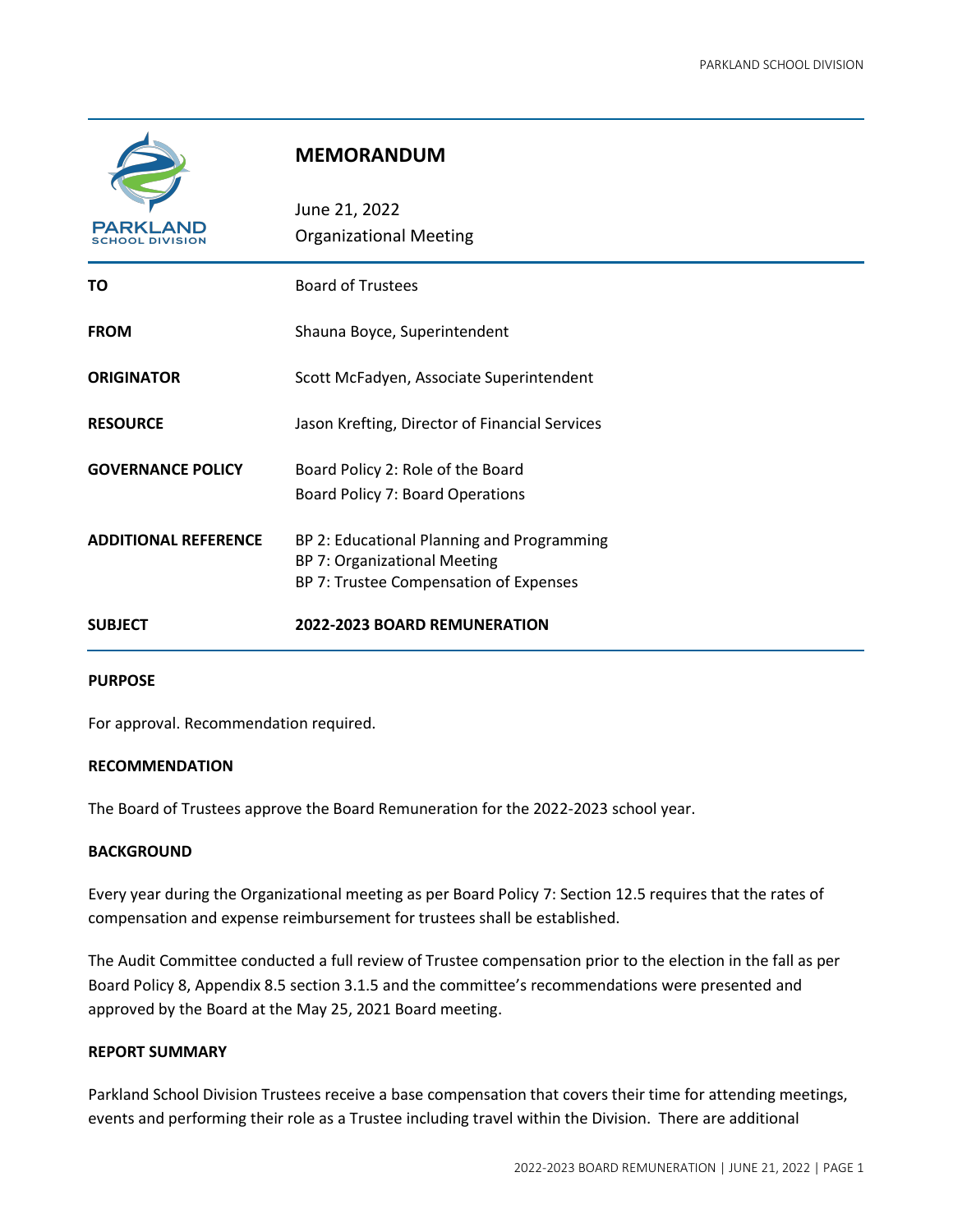

# **MEMORANDUM**

| <b>PARKLAND</b><br>SCHOOL DIVISION | June 21, 2022<br><b>Organizational Meeting</b>                                                                       |
|------------------------------------|----------------------------------------------------------------------------------------------------------------------|
| ΤО                                 | <b>Board of Trustees</b>                                                                                             |
| <b>FROM</b>                        | Shauna Boyce, Superintendent                                                                                         |
| <b>ORIGINATOR</b>                  | Scott McFadyen, Associate Superintendent                                                                             |
| <b>RESOURCE</b>                    | Jason Krefting, Director of Financial Services                                                                       |
| <b>GOVERNANCE POLICY</b>           | Board Policy 2: Role of the Board<br>Board Policy 7: Board Operations                                                |
| <b>ADDITIONAL REFERENCE</b>        | BP 2: Educational Planning and Programming<br>BP 7: Organizational Meeting<br>BP 7: Trustee Compensation of Expenses |
| <b>SUBJECT</b>                     | 2022-2023 BOARD REMUNERATION                                                                                         |

## **PURPOSE**

For approval. Recommendation required.

#### **RECOMMENDATION**

The Board of Trustees approve the Board Remuneration for the 2022-2023 school year.

# **BACKGROUND**

Every year during the Organizational meeting as per Board Policy 7: Section 12.5 requires that the rates of compensation and expense reimbursement for trustees shall be established.

The Audit Committee conducted a full review of Trustee compensation prior to the election in the fall as per Board Policy 8, Appendix 8.5 section 3.1.5 and the committee's recommendations were presented and approved by the Board at the May 25, 2021 Board meeting.

## **REPORT SUMMARY**

Parkland School Division Trustees receive a base compensation that covers their time for attending meetings, events and performing their role as a Trustee including travel within the Division. There are additional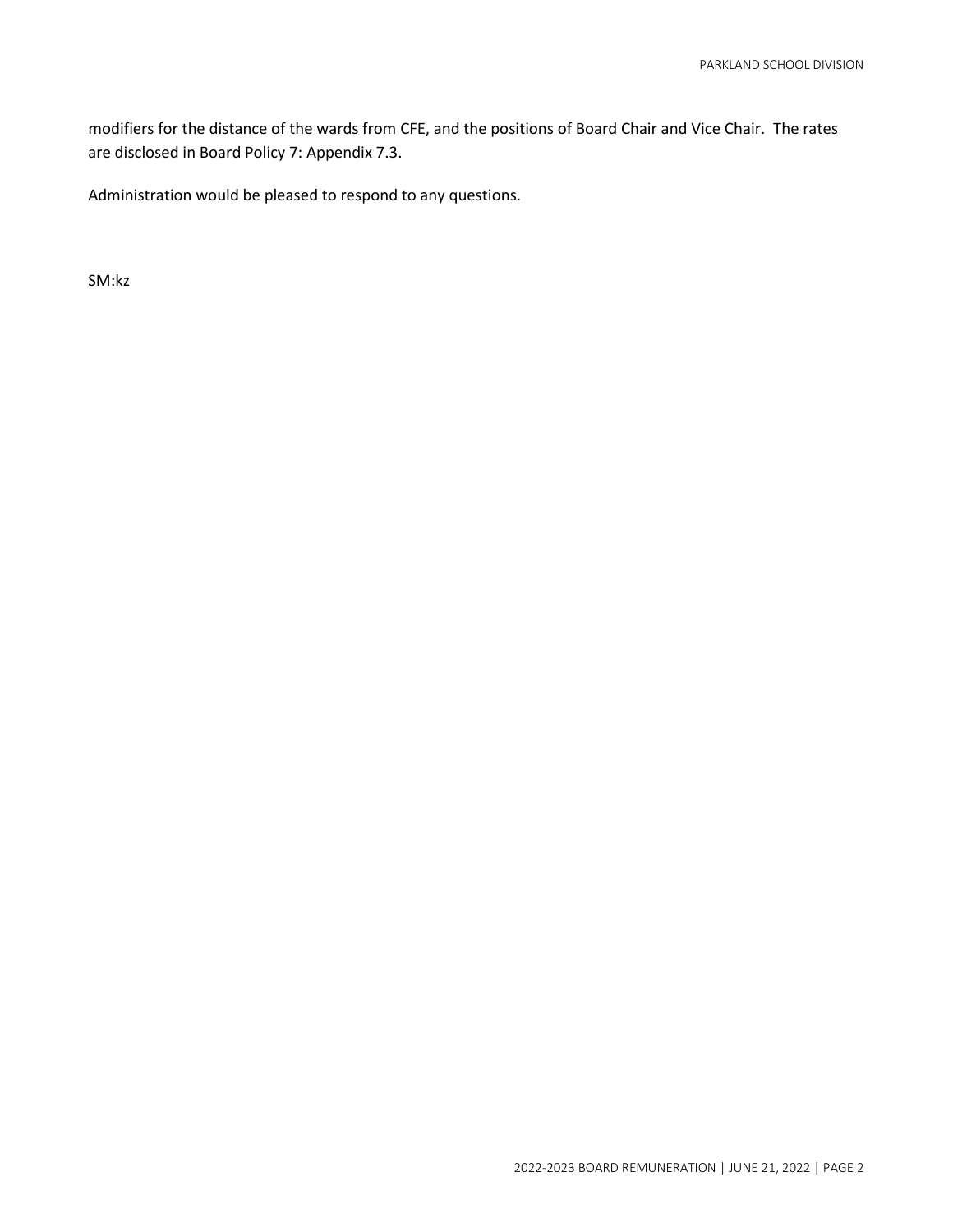modifiers for the distance of the wards from CFE, and the positions of Board Chair and Vice Chair. The rates are disclosed in Board Policy 7: Appendix 7.3.

Administration would be pleased to respond to any questions.

SM:kz